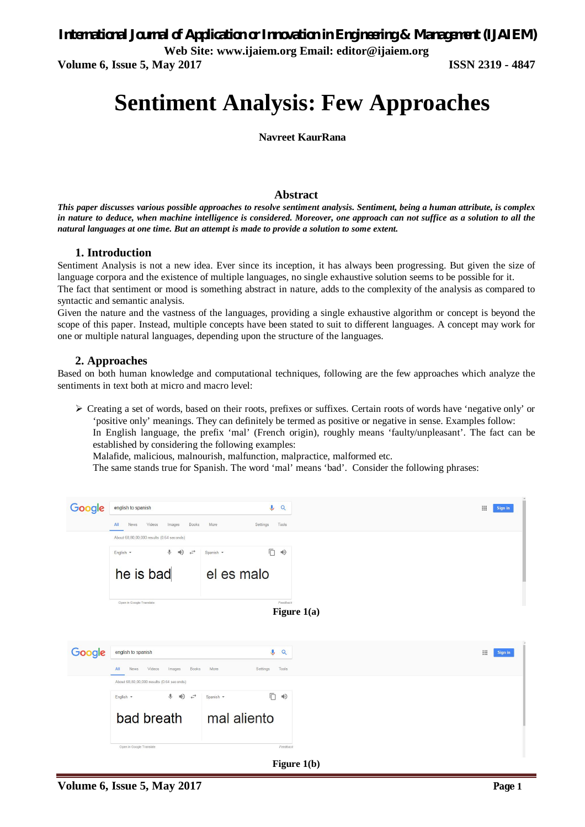**Web Site: www.ijaiem.org Email: editor@ijaiem.org**

**Volume 6, Issue 5, May 2017 ISSN 2319 - 4847**

# **Sentiment Analysis: Few Approaches**

**Navreet KaurRana**

## **Abstract**

*This paper discusses various possible approaches to resolve sentiment analysis. Sentiment, being a human attribute, is complex in nature to deduce, when machine intelligence is considered. Moreover, one approach can not suffice as a solution to all the natural languages at one time. But an attempt is made to provide a solution to some extent.*

## **1. Introduction**

Sentiment Analysis is not a new idea. Ever since its inception, it has always been progressing. But given the size of language corpora and the existence of multiple languages, no single exhaustive solution seems to be possible for it.

The fact that sentiment or mood is something abstract in nature, adds to the complexity of the analysis as compared to syntactic and semantic analysis.

Given the nature and the vastness of the languages, providing a single exhaustive algorithm or concept is beyond the scope of this paper. Instead, multiple concepts have been stated to suit to different languages. A concept may work for one or multiple natural languages, depending upon the structure of the languages.

## **2. Approaches**

Based on both human knowledge and computational techniques, following are the few approaches which analyze the sentiments in text both at micro and macro level:

 Creating a set of words, based on their roots, prefixes or suffixes. Certain roots of words have 'negative only' or 'positive only' meanings. They can definitely be termed as positive or negative in sense. Examples follow:

In English language, the prefix 'mal' (French origin), roughly means 'faulty/unpleasant'. The fact can be established by considering the following examples:

Malafide, malicious, malnourish, malfunction, malpractice, malformed etc.

The same stands true for Spanish. The word 'mal' means 'bad'. Consider the following phrases:

| Google        | english to spanish                                                    | $\mathbf{U}$<br>Q               |               | m<br>Sign in |  |  |  |  |
|---------------|-----------------------------------------------------------------------|---------------------------------|---------------|--------------|--|--|--|--|
|               | Books<br>Videos<br>Images<br>All<br><b>News</b>                       | More<br>Settings<br>Tools       |               |              |  |  |  |  |
|               | About 68,80,00,000 results (0.64 seconds)                             |                                 |               |              |  |  |  |  |
|               | $\mathbb Q$<br>$\Rightarrow$<br>$\leftarrow$<br>English -             | Ō<br>$\Rightarrow$<br>Spanish - |               |              |  |  |  |  |
|               | he is bad                                                             | el es malo                      |               |              |  |  |  |  |
|               | Open in Google Translate                                              | Feedback                        | Figure $1(a)$ |              |  |  |  |  |
|               |                                                                       |                                 |               |              |  |  |  |  |
|               |                                                                       |                                 |               |              |  |  |  |  |
| Google        | english to spanish                                                    | $\mathbf{J}$<br>Q               |               | Sign in      |  |  |  |  |
|               | Books<br>More<br>Tools<br>All<br>News<br>Videos<br>Images<br>Settings |                                 |               |              |  |  |  |  |
|               | About 68,80,00,000 results (0.64 seconds)                             |                                 |               |              |  |  |  |  |
|               | $\downarrow$ (1)<br>$\leftrightarrow$<br>English +                    | Ō<br>$\Rightarrow$<br>Spanish - |               |              |  |  |  |  |
|               | bad breath                                                            | mal aliento                     |               |              |  |  |  |  |
|               | Open in Google Translate                                              | Feedback                        |               |              |  |  |  |  |
| Figure $1(b)$ |                                                                       |                                 |               |              |  |  |  |  |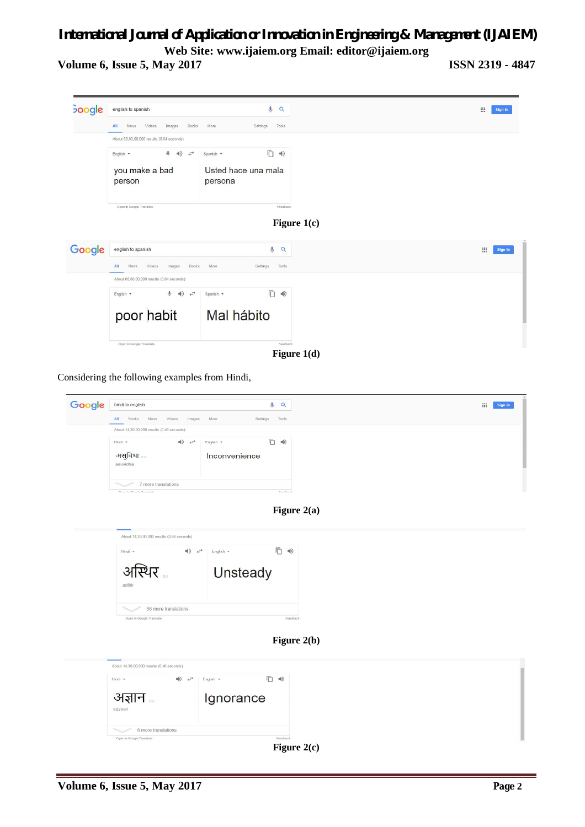## *International Journal of Application or Innovation in Engineering & Management (IJAIEM)* **Web Site: www.ijaiem.org Email: editor@ijaiem.org**

**Volume 6, Issue 5, May 2017 ISSN 2319 - 4847**



Considering the following examples from Hindi,

| Google | hindi to english                                |                  | Q           | $\mathop{\mathrm{iii}}$<br>Sign in |  |
|--------|-------------------------------------------------|------------------|-------------|------------------------------------|--|
|        | Videos<br>All<br>Books<br>News<br>Images        | More<br>Settings | Tools       |                                    |  |
|        | About 14,30,00,000 results (0.46 seconds)       |                  |             |                                    |  |
|        | $\Rightarrow$<br>Hindi *                        | English *        | □ →         |                                    |  |
|        | असुविधा<br>asuvidha                             | Inconvenience    |             |                                    |  |
|        | 7 more translations<br>Cran in Google Translate |                  | Enerthank   |                                    |  |
|        |                                                 |                  | Figure 2(a) |                                    |  |
|        |                                                 |                  |             |                                    |  |
|        | About 14,30,00,000 results (0.46 seconds)       |                  |             |                                    |  |
|        | $\Rightarrow$<br>Hindi -                        | English -        | □ →         |                                    |  |
|        |                                                 |                  |             |                                    |  |
|        | अस्थिर<br>asthir                                | Unsteady         |             |                                    |  |
|        | 56 more translations                            |                  |             |                                    |  |
|        | Open in Google Translate                        |                  | Feedback    |                                    |  |
|        |                                                 |                  |             |                                    |  |
|        |                                                 |                  | Figure 2(b) |                                    |  |
|        | About 14,30,00,000 results (0.46 seconds)       |                  |             |                                    |  |
|        | $\Rightarrow$<br>Hindi -                        | □ →<br>English - |             |                                    |  |
|        | अज्ञान<br>agyaan                                | Ignorance        |             |                                    |  |
|        | 6 more translations                             |                  |             |                                    |  |
|        | Open in Google Translate                        |                  | Feedback    |                                    |  |